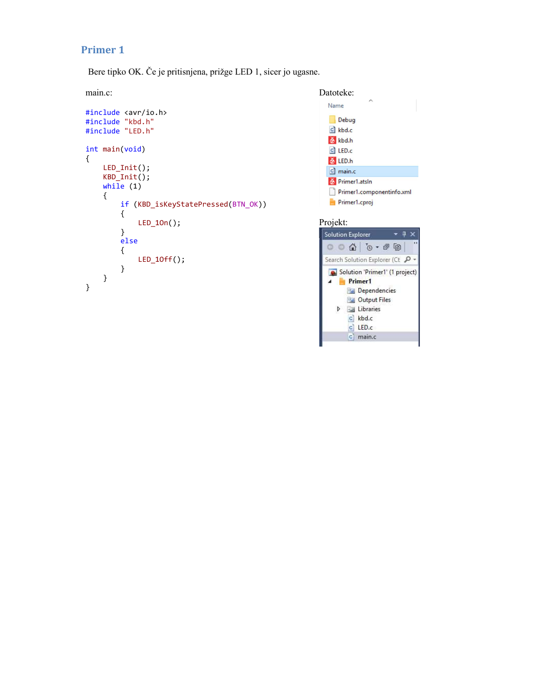# Primer 1

Bere tipko OK. Če je pritisnjena, prižge LED 1, sicer jo ugasne.

```
#include <avr/io.h> 
#include "kbd.h"
#include "LED.h"
int main(void) 
\{LED_Init(); 
  KBD_Init(); 
 while (1)\{if (KBD_isKeyStatePressed(BTN_OK)) 
\{ LED_1On(); 
   } 
   else
   \{LED_10ff(); earch Solution Explorer (Ct \beta} 
 } 
}
```


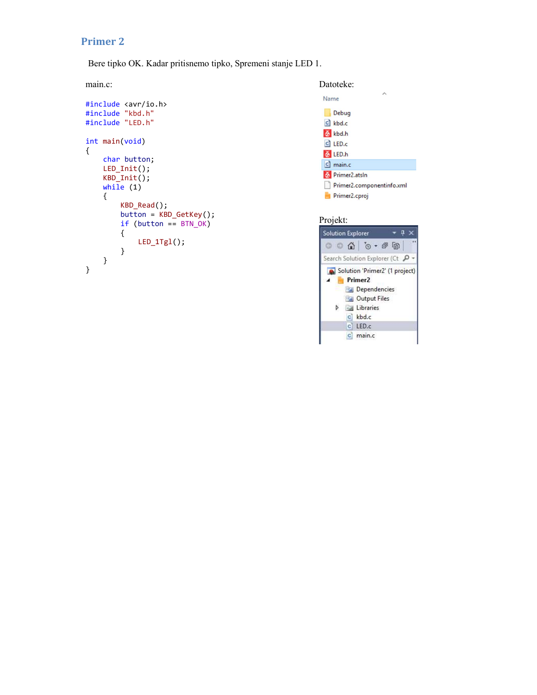# Primer 2

Bere tipko OK. Kadar pritisnemo tipko, Spremeni stanje LED 1.

```
#include <avr/io.h>
#include "kbd.h"
#include "LED.h"
int main(void) 
\{char button; 
   LED_Init(); 
  KBD_Init(); 
   while (1)
\{ KBD_Read(); 
    button = KBD_GetKey();
    if (button == BTN_OK)<br>{<br>{<br>Solution Explorer
\{} 
 } 
}
```

| main.c:                                                       | Datoteke:                                  |
|---------------------------------------------------------------|--------------------------------------------|
| #include <avr io.h=""></avr>                                  | $\wedge$<br>Name                           |
| #include "kbd.h"                                              | Debug                                      |
| #include "LED.h"                                              | $c \mid$ kbd.c                             |
| int main(void)                                                | $\delta$ kbd.h<br>$C$ LED. $C$             |
| char button:<br>$LED Int()$ ;<br>$KBD$ Init();<br>while $(1)$ | $6$ LED.h<br>$c$ ] main.c                  |
|                                                               | Primer2.atsln<br>Primer2.componentinfo.xml |
|                                                               | Primer2.cproj                              |
|                                                               |                                            |

### Projekt:

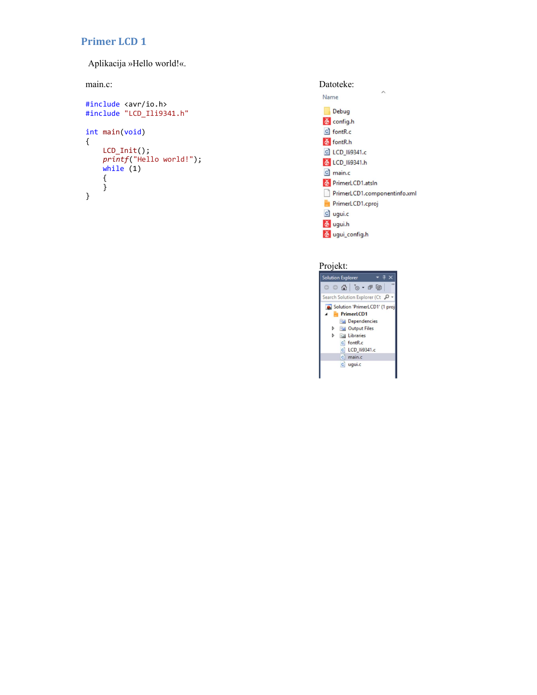# Primer LCD 1

Aplikacija »Hello world!«.

```
#include <avr/io.h>
#Include "LCD_Ili9341.h"<br>#include "LCD_Ili9341.h"
int main(void) 
\{LCD Init();
  Printf("Hello world!");<br>
printf("Hello world!");<br>
a LCD_IIi9341.h
   while (1)
\{} 
}
```


#### Projekt:

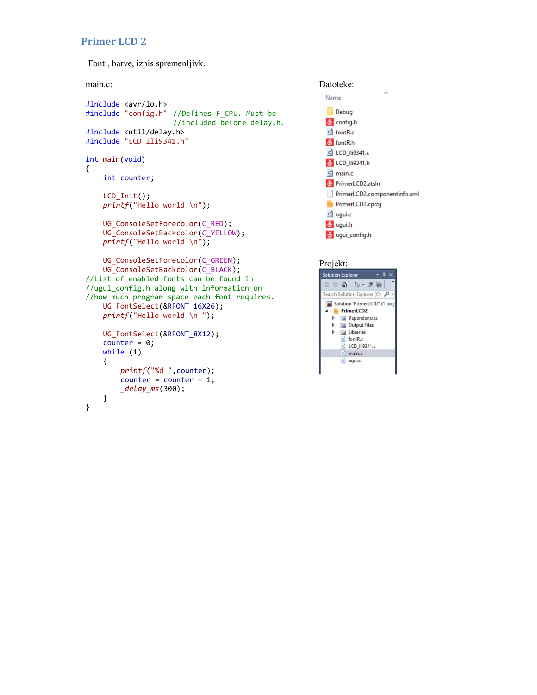## Primer LCD 2

Fonti, barve, izpis spremenljivk.

```
#include <avr/io.h>
#include "config.h" //Defines F_CPU. Must be<br>\frac{1}{2} bebug before delay.h.
                    //included before delay.h.
#include <util/delay.h> 
#include "LCD_Ili9341.h"
int main(void) 
\{int counter; 
   LCD_Init(); 
   printf("Hello world! \n');
   UG_ConsoleSetForecolor(C_RED); \delta ugui.h
   UG_ConsoleSetBackcolor(C_YELLOW); 
   printf("Hello world! \n});
   UG_ConsoleSetForecolor(C_GREEN); 
   UG_{\text{Solution}} UG ConsoleSetBackcolor(C_BLACK);<br>
\frac{1}{V} Solution Explorer \frac{1}{V} \times \frac{1}{V}\frac{1}{\sqrt{2}} //List of enabled fonts can be found in
//ugui_config.h along with information on<br>//hou much program space each font poquines
For much program space each font requires.<br>ILC EONTSOLOCI(RECONT 16Y26).
   UG_FontSelect(&RFONT_16X26);<br>resist C("Uslle world') resist Control in the control of the control of the control of the control of the control of the control of the control of the control of the control of the control of t
   printf("Hello world!\n "); 
   UG\_FontSelect(@RFONT_8X12);<br>
Counter = A:<br>
G IothR.ccounter = 0;while (1)
    \{ printf("%d ",counter); 
       counter = counter + 1; _delay_ms(300); 
    } 
}
```
# main.c: Datoteke: Name c] LCD\_IIi9341.c 6 LCD\_IIi9341.h  $c$ ] main.c The PrimerLCD2.atsln PrimerLCD2.componentinfo.xml  $c$  ugui.c

#### Projekt: